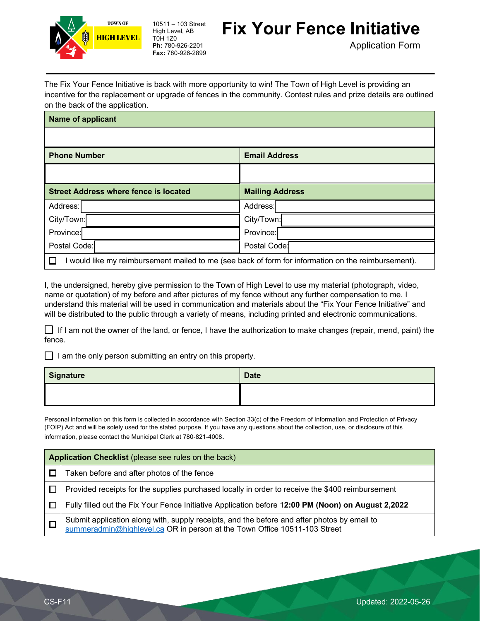

10511 – 103 Street High Level, AB T0H 1Z0 **Ph:** 780-926-2201 **Fax:** 780-926-2899

## **Fix Your Fence Initiative**

Application Form

The Fix Your Fence Initiative is back with more opportunity to win! The Town of High Level is providing an incentive for the replacement or upgrade of fences in the community. Contest rules and prize details are outlined on the back of the application.

| <b>Name of applicant</b>                     |                                                                                                   |
|----------------------------------------------|---------------------------------------------------------------------------------------------------|
|                                              |                                                                                                   |
| <b>Phone Number</b>                          | <b>Email Address</b>                                                                              |
|                                              |                                                                                                   |
| <b>Street Address where fence is located</b> | <b>Mailing Address</b>                                                                            |
| Address:                                     | Address:                                                                                          |
| City/Town:                                   | City/Town:                                                                                        |
| Province:                                    | Province:                                                                                         |
| Postal Code:                                 | Postal Code:                                                                                      |
|                                              | would like my reimbursement mailed to me (see back of form for information on the reimbursement). |

I, the undersigned, hereby give permission to the Town of High Level to use my material (photograph, video, name or quotation) of my before and after pictures of my fence without any further compensation to me. I understand this material will be used in communication and materials about the "Fix Your Fence Initiative" and will be distributed to the public through a variety of means, including printed and electronic communications.

 $\Box$  If I am not the owner of the land, or fence, I have the authorization to make changes (repair, mend, paint) the fence.

 $\Box$  I am the only person submitting an entry on this property.

| Signature | <b>Date</b> |
|-----------|-------------|
|           |             |

Personal information on this form is collected in accordance with Section 33(c) of the Freedom of Information and Protection of Privacy (FOIP) Act and will be solely used for the stated purpose. If you have any questions about the collection, use, or disclosure of this information, please contact the Municipal Clerk at 780-821-4008.

| Application Checklist (please see rules on the back) |                                                                                                                                                                          |
|------------------------------------------------------|--------------------------------------------------------------------------------------------------------------------------------------------------------------------------|
|                                                      | Taken before and after photos of the fence                                                                                                                               |
|                                                      | Provided receipts for the supplies purchased locally in order to receive the \$400 reimbursement                                                                         |
|                                                      | Fully filled out the Fix Your Fence Initiative Application before 12:00 PM (Noon) on August 2,2022                                                                       |
|                                                      | Submit application along with, supply receipts, and the before and after photos by email to<br>summeradmin@highlevel.ca OR in person at the Town Office 10511-103 Street |